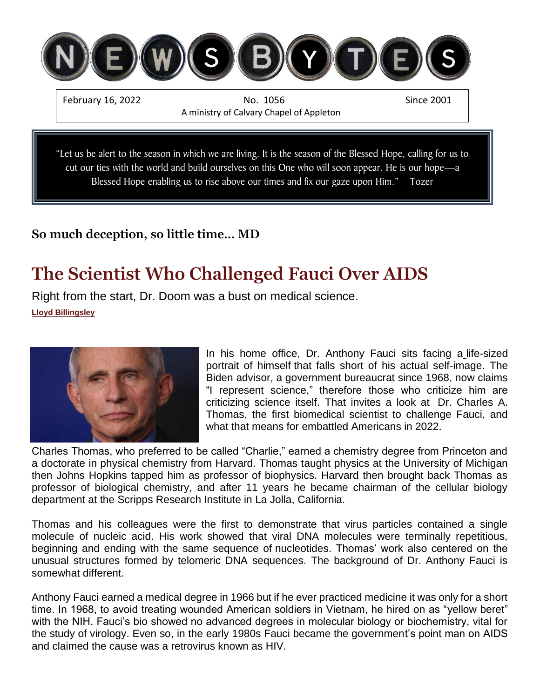

Blessed Hope enabling us to rise above our times and fix our gaze upon Him." Tozer

### **So much deception, so little time… MD**

## **The Scientist Who Challenged Fauci Over AIDS**

Right from the start, Dr. Doom was a bust on medical science. **[Lloyd Billingsley](https://www.frontpagemag.com/author/lloyd-billingsley)**



In his home office, Dr. Anthony Fauci sits facing a [life-sized](https://nypost.com/2022/01/20/faucis-home-office-features-photos-of-self-bobblehead/)  [portrait of himself](https://nypost.com/2022/01/20/faucis-home-office-features-photos-of-self-bobblehead/) that falls short of his actual self-image. The Biden advisor, a government bureaucrat since 1968, now claims ["I represent science,"](https://www.youtube.com/watch?v=XAEsD-bPmoU) therefore those who criticize him are criticizing science itself. That invites a look at [Dr. Charles A.](http://ra-archive.rethinkers.net/BoardMembers/cthomas.htm)  [Thomas,](http://ra-archive.rethinkers.net/BoardMembers/cthomas.htm) the first biomedical scientist to challenge Fauci, and what that means for embattled Americans in 2022.

Charles Thomas, who preferred to be called "Charlie," earned a chemistry degree from Princeton and a doctorate in physical chemistry from Harvard. Thomas taught physics at the University of Michigan then Johns Hopkins tapped him as professor of biophysics. Harvard then brought back Thomas as professor of biological chemistry, and after 11 years he became chairman of the cellular biology department at the Scripps Research Institute in La Jolla, California.

Thomas and his colleagues were the first to demonstrate that virus particles contained a single molecule of nucleic acid. His work showed that viral DNA molecules were terminally repetitious, beginning and ending with the same sequence of [nucleotides.](https://www.genome.gov/genetics-glossary/Nucleotide) Thomas' work also centered on the unusual structures formed by telomeric DNA sequences. The background of Dr. Anthony Fauci is somewhat different.

Anthony Fauci earned a medical degree in 1966 but if he ever practiced medicine it was only for a short time. In 1968, to avoid treating wounded American soldiers in Vietnam, he hired on as ["yellow beret"](https://www.frontpagemag.com/fpm/2021/05/white-coat-supremacist-anthony-fauci-still-wears-lloyd-billingsley/) with the NIH. Fauci's bio showed no advanced degrees in molecular biology or biochemistry, vital for the study of virology. Even so, in the early 1980s Fauci became the government's point man on AIDS and claimed the cause was a retrovirus known as HIV.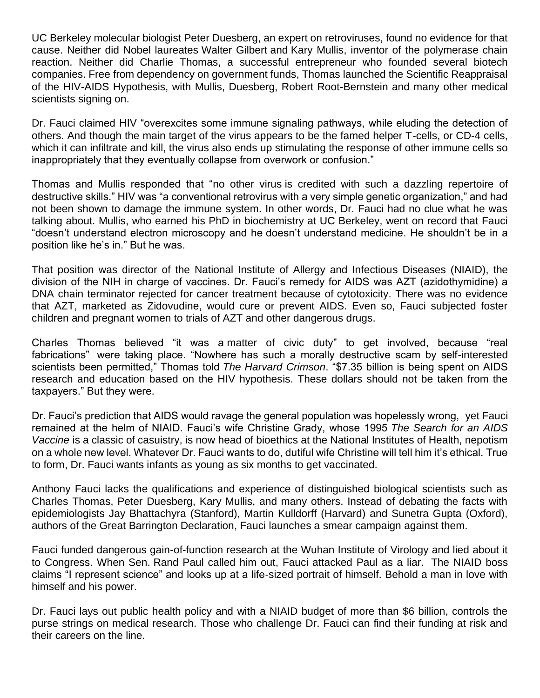UC Berkeley molecular biologist Peter Duesberg, an expert on retroviruses, found no evidence for that cause. Neither did Nobel laureates [Walter Gilbert](https://www.mayoclinicproceedings.org/article/S0025-6196(11)61928-9/fulltext) and [Kary Mullis,](https://www.nobelprize.org/prizes/chemistry/1993/mullis/facts/) inventor of the polymerase chain reaction. Neither did Charlie Thomas, a successful entrepreneur who founded several biotech companies. Free from dependency on government funds, Thomas launched the Scientific Reappraisal of the HIV-AIDS Hypothesis, with Mullis, Duesberg, Robert Root-Bernstein and many other medical scientists signing on.

Dr. Fauci claimed HIV "overexcites some immune signaling pathways, while eluding the detection of others. And though the main target of the virus appears to be the famed helper T-cells, or CD-4 cells, which it can infiltrate and kill, the virus also ends up stimulating the response of other immune cells so inappropriately that they eventually collapse from overwork or confusion."

Thomas and Mullis responded that ["no other virus](https://reason.com/1994/06/01/what-causes-aids-2/) is credited with such a dazzling repertoire of destructive skills." HIV was "a conventional retrovirus with a very simple genetic organization," and had not been shown to damage the immune system. In other words, Dr. Fauci had no clue what he was talking about. Mullis, who earned his PhD in biochemistry at UC Berkeley, went on record that Fauci "doesn't understand electron microscopy and he [doesn't understand medicine.](https://www.frontpagemag.com/fpm/2021/01/when-tony-met-kary-lloyd-billingsley/) He shouldn't be in a position like he's in." But he was.

That position was director of the National Institute of Allergy and Infectious Diseases (NIAID), the division of the NIH in charge of vaccines. Dr. Fauci's remedy for AIDS was AZT (azidothymidine) a DNA chain terminator rejected for cancer treatment because of [cytotoxicity.](https://www.sciencedirect.com/topics/chemistry/cytotoxicity) There was no evidence that AZT, marketed as Zidovudine, would cure or prevent AIDS. Even so, Fauci subjected foster children and pregnant women to trials of AZT and other dangerous drugs.

Charles Thomas believed "it was a [matter of civic duty"](https://publishing.cdlib.org/ucpressebooks/view?docId=ft1s20045x&chunk.id=d0e5250&toc.id=d0e5247&brand=ucpress) to get involved, because "real fabrications" were taking place. "Nowhere has such a morally destructive scam by self-interested scientists been permitted," Thomas told *[The Harvard Crimson](https://www.thecrimson.com/article/1995/5/3/reappraising-aids-pbillions-of-dollars-of/)*. "\$7.35 billion is being spent on AIDS research and education based on the HIV hypothesis. These dollars should not be taken from the taxpayers." But they were.

Dr. Fauci's prediction that AIDS would ravage the general population was hopelessly wrong, yet Fauci remained at the helm of NIAID. Fauci's wife Christine Grady, whose 1995 *The Search for an AIDS Vaccine* is a classic of casuistry, is now [head of bioethics](https://www.frontpagemag.com/fpm/2022/01/nihlist-thought-dr-dooms-wife-christine-grady-lloyd-billingsley/) at the National Institutes of Health, nepotism on a whole new level. Whatever Dr. Fauci wants to do, dutiful wife Christine will tell him it's ethical. True to form, Dr. Fauci wants infants as young [as six months](https://www.businessinsider.com/fauci-babies-toddlers-should-get-covid-19-vaccines-by-spring-2021-11) to get vaccinated.

Anthony Fauci lacks the qualifications and experience of distinguished biological scientists such as Charles Thomas, Peter Duesberg, Kary Mullis, and many others. Instead of debating the facts with epidemiologists Jay Bhattachyra (Stanford), Martin Kulldorff (Harvard) and Sunetra Gupta (Oxford), authors of [the Great Barrington Declaration,](https://gbdeclaration.org/) Fauci launches a [smear campaign](https://www.frontpagemag.com/fpm/2022/01/epistle-paul-washingtonians-lloyd-billingsley/) against them.

Fauci funded dangerous gain-of-function research at the Wuhan Institute of Virology and lied about it to Congress. When Sen. [Rand Paul called him out,](https://www.frontpagemag.com/fpm/2022/01/epistle-paul-washingtonians-lloyd-billingsley/) Fauci attacked Paul as a liar. The NIAID boss claims "I represent science" and looks up at a life-sized portrait of himself. Behold a man in love with himself and his power.

Dr. Fauci lays out public health policy and with a NIAID budget of more than \$6 billion, controls the purse strings on medical research. Those who challenge Dr. Fauci can find their funding at risk and their careers on the line.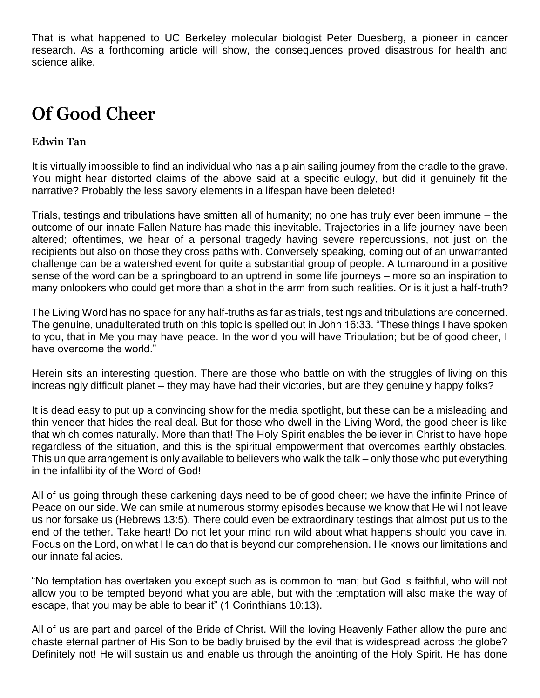That is what happened to UC Berkeley molecular biologist Peter Duesberg, a pioneer in cancer research. As a forthcoming article will show, the consequences proved disastrous for health and science alike.

# **Of Good Cheer**

#### **Edwin Tan**

It is virtually impossible to find an individual who has a plain sailing journey from the cradle to the grave. You might hear distorted claims of the above said at a specific eulogy, but did it genuinely fit the narrative? Probably the less savory elements in a lifespan have been deleted!

Trials, testings and tribulations have smitten all of humanity; no one has truly ever been immune – the outcome of our innate Fallen Nature has made this inevitable. Trajectories in a life journey have been altered; oftentimes, we hear of a personal tragedy having severe repercussions, not just on the recipients but also on those they cross paths with. Conversely speaking, coming out of an unwarranted challenge can be a watershed event for quite a substantial group of people. A turnaround in a positive sense of the word can be a springboard to an uptrend in some life journeys – more so an inspiration to many onlookers who could get more than a shot in the arm from such realities. Or is it just a half-truth?

The Living Word has no space for any half-truths as far as trials, testings and tribulations are concerned. The genuine, unadulterated truth on this topic is spelled out in John 16:33. "These things I have spoken to you, that in Me you may have peace. In the world you will have Tribulation; but be of good cheer, I have overcome the world."

Herein sits an interesting question. There are those who battle on with the struggles of living on this increasingly difficult planet – they may have had their victories, but are they genuinely happy folks?

It is dead easy to put up a convincing show for the media spotlight, but these can be a misleading and thin veneer that hides the real deal. But for those who dwell in the Living Word, the good cheer is like that which comes naturally. More than that! The Holy Spirit enables the believer in Christ to have hope regardless of the situation, and this is the spiritual empowerment that overcomes earthly obstacles. This unique arrangement is only available to believers who walk the talk – only those who put everything in the infallibility of the Word of God!

All of us going through these darkening days need to be of good cheer; we have the infinite Prince of Peace on our side. We can smile at numerous stormy episodes because we know that He will not leave us nor forsake us (Hebrews 13:5). There could even be extraordinary testings that almost put us to the end of the tether. Take heart! Do not let your mind run wild about what happens should you cave in. Focus on the Lord, on what He can do that is beyond our comprehension. He knows our limitations and our innate fallacies.

"No temptation has overtaken you except such as is common to man; but God is faithful, who will not allow you to be tempted beyond what you are able, but with the temptation will also make the way of escape, that you may be able to bear it" (1 Corinthians 10:13).

All of us are part and parcel of the Bride of Christ. Will the loving Heavenly Father allow the pure and chaste eternal partner of His Son to be badly bruised by the evil that is widespread across the globe? Definitely not! He will sustain us and enable us through the anointing of the Holy Spirit. He has done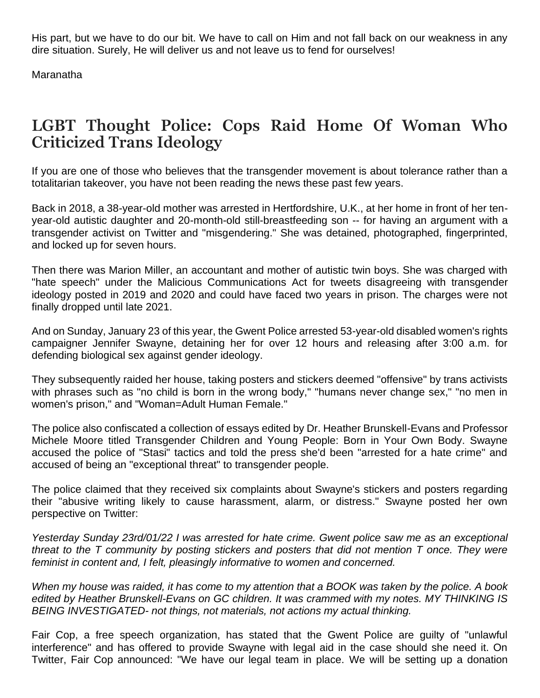His part, but we have to do our bit. We have to call on Him and not fall back on our weakness in any dire situation. Surely, He will deliver us and not leave us to fend for ourselves!

Maranatha

## **LGBT Thought Police: Cops Raid Home Of Woman Who Criticized Trans Ideology**

If you are one of those who believes that the transgender movement is about tolerance rather than a totalitarian takeover, you have not been reading the news these past few years.

Back in 2018, a 38-year-old mother was arrested in Hertfordshire, U.K., at her home in front of her tenyear-old autistic daughter and 20-month-old still-breastfeeding son -- for having an argument with a transgender activist on Twitter and "misgendering." She was detained, photographed, fingerprinted, and locked up for seven hours.

Then there was Marion Miller, an accountant and mother of autistic twin boys. She was charged with "hate speech" under the Malicious Communications Act for tweets disagreeing with transgender ideology posted in 2019 and 2020 and could have faced two years in prison. The charges were not finally dropped until late 2021.

And on Sunday, January 23 of this year, the Gwent Police arrested 53-year-old disabled women's rights campaigner Jennifer Swayne, detaining her for over 12 hours and releasing after 3:00 a.m. for defending biological sex against gender ideology.

They subsequently raided her house, taking posters and stickers deemed "offensive" by trans activists with phrases such as "no child is born in the wrong body," "humans never change sex," "no men in women's prison," and "Woman=Adult Human Female."

The police also confiscated a collection of essays edited by Dr. Heather Brunskell-Evans and Professor Michele Moore titled Transgender Children and Young People: Born in Your Own Body. Swayne accused the police of "Stasi" tactics and told the press she'd been "arrested for a hate crime" and accused of being an "exceptional threat" to transgender people.

The police claimed that they received six complaints about Swayne's stickers and posters regarding their "abusive writing likely to cause harassment, alarm, or distress." Swayne posted her own perspective on Twitter:

*Yesterday Sunday 23rd/01/22 I was arrested for hate crime. Gwent police saw me as an exceptional threat to the T community by posting stickers and posters that did not mention T once. They were feminist in content and, I felt, pleasingly informative to women and concerned.*

*When my house was raided, it has come to my attention that a BOOK was taken by the police. A book edited by Heather Brunskell-Evans on GC children. It was crammed with my notes. MY THINKING IS BEING INVESTIGATED- not things, not materials, not actions my actual thinking.*

Fair Cop, a free speech organization, has stated that the Gwent Police are guilty of "unlawful interference" and has offered to provide Swayne with legal aid in the case should she need it. On Twitter, Fair Cop announced: "We have our legal team in place. We will be setting up a donation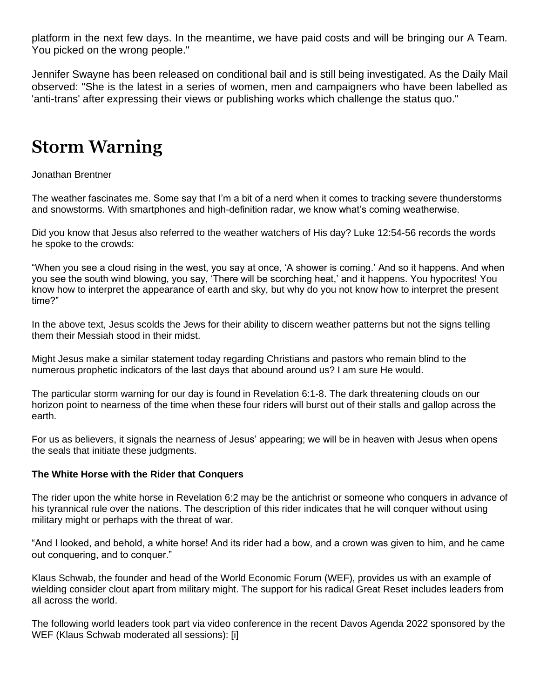platform in the next few days. In the meantime, we have paid costs and will be bringing our A Team. You picked on the wrong people."

Jennifer Swayne has been released on conditional bail and is still being investigated. As the Daily Mail observed: "She is the latest in a series of women, men and campaigners who have been labelled as 'anti-trans' after expressing their views or publishing works which challenge the status quo."

## **Storm Warning**

Jonathan Brentner

The weather fascinates me. Some say that I'm a bit of a nerd when it comes to tracking severe thunderstorms and snowstorms. With smartphones and high-definition radar, we know what's coming weatherwise.

Did you know that Jesus also referred to the weather watchers of His day? Luke 12:54-56 records the words he spoke to the crowds:

"When you see a cloud rising in the west, you say at once, 'A shower is coming.' And so it happens. And when you see the south wind blowing, you say, 'There will be scorching heat,' and it happens. You hypocrites! You know how to interpret the appearance of earth and sky, but why do you not know how to interpret the present time?"

In the above text, Jesus scolds the Jews for their ability to discern weather patterns but not the signs telling them their Messiah stood in their midst.

Might Jesus make a similar statement today regarding Christians and pastors who remain blind to the numerous prophetic indicators of the last days that abound around us? I am sure He would.

The particular storm warning for our day is found in Revelation 6:1-8. The dark threatening clouds on our horizon point to nearness of the time when these four riders will burst out of their stalls and gallop across the earth.

For us as believers, it signals the nearness of Jesus' appearing; we will be in heaven with Jesus when opens the seals that initiate these judgments.

#### **The White Horse with the Rider that Conquers**

The rider upon the white horse in Revelation 6:2 may be the antichrist or someone who conquers in advance of his tyrannical rule over the nations. The description of this rider indicates that he will conquer without using military might or perhaps with the threat of war.

"And I looked, and behold, a white horse! And its rider had a bow, and a crown was given to him, and he came out conquering, and to conquer."

Klaus Schwab, the founder and head of the World Economic Forum (WEF), provides us with an example of wielding consider clout apart from military might. The support for his radical Great Reset includes leaders from all across the world.

The following world leaders took part via video conference in the recent Davos Agenda 2022 sponsored by the WEF (Klaus Schwab moderated all sessions): [i]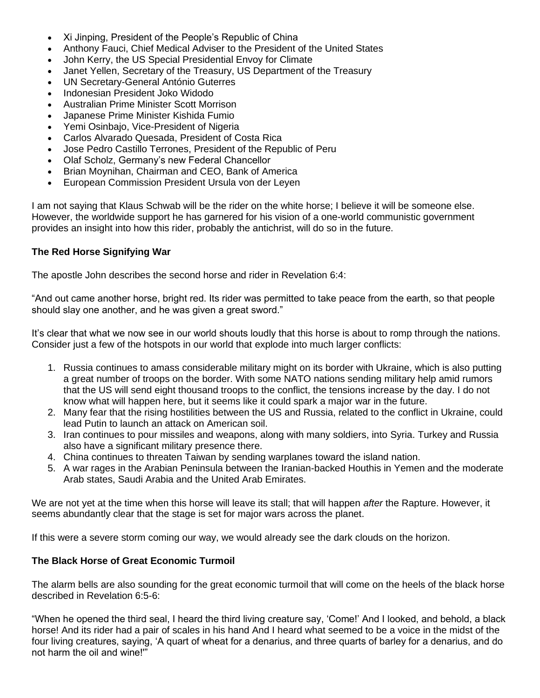- Xi Jinping, President of the People's Republic of China
- Anthony Fauci, Chief Medical Adviser to the President of the United States
- John Kerry, the US Special Presidential Envoy for Climate
- Janet Yellen, Secretary of the Treasury, US Department of the Treasury
- UN Secretary-General António Guterres
- Indonesian President Joko Widodo
- Australian Prime Minister Scott Morrison
- Japanese Prime Minister Kishida Fumio
- Yemi Osinbajo, Vice-President of Nigeria
- Carlos Alvarado Quesada, President of Costa Rica
- Jose Pedro Castillo Terrones, President of the Republic of Peru
- Olaf Scholz, Germany's new Federal Chancellor
- Brian Moynihan, Chairman and CEO, Bank of America
- European Commission President Ursula von der Leyen

I am not saying that Klaus Schwab will be the rider on the white horse; I believe it will be someone else. However, the worldwide support he has garnered for his vision of a one-world communistic government provides an insight into how this rider, probably the antichrist, will do so in the future.

#### **The Red Horse Signifying War**

The apostle John describes the second horse and rider in Revelation 6:4:

"And out came another horse, bright red. Its rider was permitted to take peace from the earth, so that people should slay one another, and he was given a great sword."

It's clear that what we now see in our world shouts loudly that this horse is about to romp through the nations. Consider just a few of the hotspots in our world that explode into much larger conflicts:

- 1. Russia continues to amass considerable military might on its border with Ukraine, which is also putting a great number of troops on the border. With some NATO nations sending military help amid rumors that the US will send eight thousand troops to the conflict, the tensions increase by the day. I do not know what will happen here, but it seems like it could spark a major war in the future.
- 2. Many fear that the rising hostilities between the US and Russia, related to the conflict in Ukraine, could lead Putin to launch an attack on American soil.
- 3. Iran continues to pour missiles and weapons, along with many soldiers, into Syria. Turkey and Russia also have a significant military presence there.
- 4. China continues to threaten Taiwan by sending warplanes toward the island nation.
- 5. A war rages in the Arabian Peninsula between the Iranian-backed Houthis in Yemen and the moderate Arab states, Saudi Arabia and the United Arab Emirates.

We are not yet at the time when this horse will leave its stall; that will happen *after* the Rapture. However, it seems abundantly clear that the stage is set for major wars across the planet.

If this were a severe storm coming our way, we would already see the dark clouds on the horizon.

#### **The Black Horse of Great Economic Turmoil**

The alarm bells are also sounding for the great economic turmoil that will come on the heels of the black horse described in Revelation 6:5-6:

"When he opened the third seal, I heard the third living creature say, 'Come!' And I looked, and behold, a black horse! And its rider had a pair of scales in his hand And I heard what seemed to be a voice in the midst of the four living creatures, saying, 'A quart of wheat for a denarius, and three quarts of barley for a denarius, and do not harm the oil and wine!'"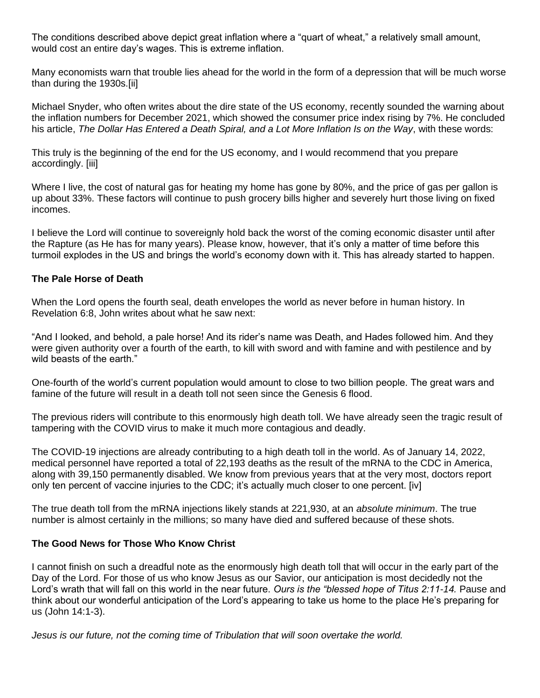The conditions described above depict great inflation where a "quart of wheat," a relatively small amount, would cost an entire day's wages. This is extreme inflation.

Many economists warn that trouble lies ahead for the world in the form of a depression that will be much worse than during the 1930s.[ii]

Michael Snyder, who often writes about the dire state of the US economy, recently sounded the warning about the inflation numbers for December 2021, which showed the consumer price index rising by 7%. He concluded his article, *The Dollar Has Entered a Death Spiral, and a Lot More Inflation Is on the Way*, with these words:

This truly is the beginning of the end for the US economy, and I would recommend that you prepare accordingly. [iii]

Where I live, the cost of natural gas for heating my home has gone by 80%, and the price of gas per gallon is up about 33%. These factors will continue to push grocery bills higher and severely hurt those living on fixed incomes.

I believe the Lord will continue to sovereignly hold back the worst of the coming economic disaster until after the Rapture (as He has for many years). Please know, however, that it's only a matter of time before this turmoil explodes in the US and brings the world's economy down with it. This has already started to happen.

#### **The Pale Horse of Death**

When the Lord opens the fourth seal, death envelopes the world as never before in human history. In Revelation 6:8, John writes about what he saw next:

"And I looked, and behold, a pale horse! And its rider's name was Death, and Hades followed him. And they were given authority over a fourth of the earth, to kill with sword and with famine and with pestilence and by wild beasts of the earth."

One-fourth of the world's current population would amount to close to two billion people. The great wars and famine of the future will result in a death toll not seen since the Genesis 6 flood.

The previous riders will contribute to this enormously high death toll. We have already seen the tragic result of tampering with the COVID virus to make it much more contagious and deadly.

The COVID-19 injections are already contributing to a high death toll in the world. As of January 14, 2022, medical personnel have reported a total of 22,193 deaths as the result of the mRNA to the CDC in America, along with 39,150 permanently disabled. We know from previous years that at the very most, doctors report only ten percent of vaccine injuries to the CDC; it's actually much closer to one percent. [iv]

The true death toll from the mRNA injections likely stands at 221,930, at an *absolute minimum*. The true number is almost certainly in the millions; so many have died and suffered because of these shots.

#### **The Good News for Those Who Know Christ**

I cannot finish on such a dreadful note as the enormously high death toll that will occur in the early part of the Day of the Lord. For those of us who know Jesus as our Savior, our anticipation is most decidedly not the Lord's wrath that will fall on this world in the near future. *Ours is the "blessed hope of Titus 2:11-14.* Pause and think about our wonderful anticipation of the Lord's appearing to take us home to the place He's preparing for us (John 14:1-3).

*Jesus is our future, not the coming time of Tribulation that will soon overtake the world.*